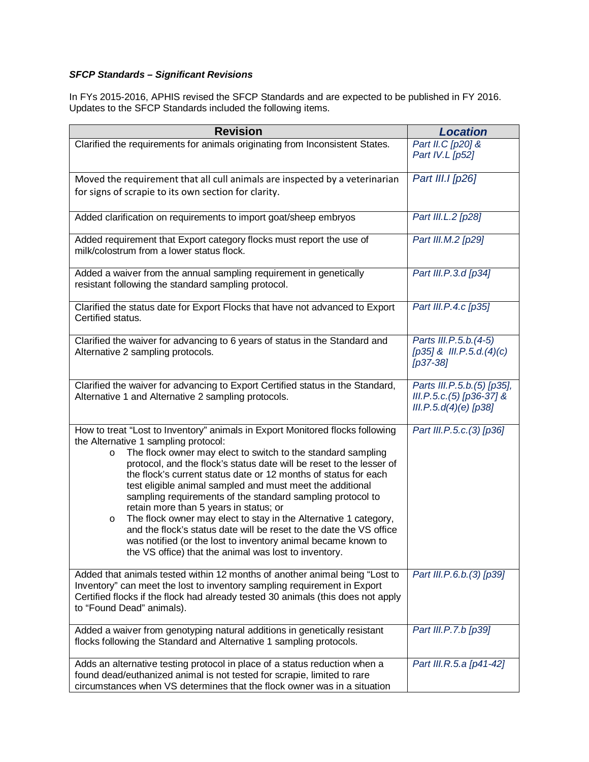## *SFCP Standards – Significant Revisions*

In FYs 2015-2016, APHIS revised the SFCP Standards and are expected to be published in FY 2016. Updates to the SFCP Standards included the following items.

| <b>Revision</b>                                                                                                                                                                                                                                                                                                                                                                                                                                                                                                                                                                                                                                                                                                                                                                                  | <b>Location</b>                                                                   |
|--------------------------------------------------------------------------------------------------------------------------------------------------------------------------------------------------------------------------------------------------------------------------------------------------------------------------------------------------------------------------------------------------------------------------------------------------------------------------------------------------------------------------------------------------------------------------------------------------------------------------------------------------------------------------------------------------------------------------------------------------------------------------------------------------|-----------------------------------------------------------------------------------|
| Clarified the requirements for animals originating from Inconsistent States.                                                                                                                                                                                                                                                                                                                                                                                                                                                                                                                                                                                                                                                                                                                     | Part II.C [p20] &<br>Part IV.L [p52]                                              |
| Moved the requirement that all cull animals are inspected by a veterinarian<br>for signs of scrapie to its own section for clarity.                                                                                                                                                                                                                                                                                                                                                                                                                                                                                                                                                                                                                                                              | Part III.I [p26]                                                                  |
| Added clarification on requirements to import goat/sheep embryos                                                                                                                                                                                                                                                                                                                                                                                                                                                                                                                                                                                                                                                                                                                                 | Part III.L.2 [p28]                                                                |
| Added requirement that Export category flocks must report the use of<br>milk/colostrum from a lower status flock.                                                                                                                                                                                                                                                                                                                                                                                                                                                                                                                                                                                                                                                                                | Part III.M.2 [p29]                                                                |
| Added a waiver from the annual sampling requirement in genetically<br>resistant following the standard sampling protocol.                                                                                                                                                                                                                                                                                                                                                                                                                                                                                                                                                                                                                                                                        | Part III.P.3.d [p34]                                                              |
| Clarified the status date for Export Flocks that have not advanced to Export<br>Certified status.                                                                                                                                                                                                                                                                                                                                                                                                                                                                                                                                                                                                                                                                                                | Part III.P.4.c [p35]                                                              |
| Clarified the waiver for advancing to 6 years of status in the Standard and<br>Alternative 2 sampling protocols.                                                                                                                                                                                                                                                                                                                                                                                                                                                                                                                                                                                                                                                                                 | Parts III.P.5.b.(4-5)<br>$[p35]$ & III.P.5.d.(4)(c)<br>$[p37-38]$                 |
| Clarified the waiver for advancing to Export Certified status in the Standard,<br>Alternative 1 and Alternative 2 sampling protocols.                                                                                                                                                                                                                                                                                                                                                                                                                                                                                                                                                                                                                                                            | Parts III.P.5.b.(5) [p35],<br>III.P.5.c.(5) [p36-37] &<br>$III.P.5.d(4)(e)$ [p38] |
| How to treat "Lost to Inventory" animals in Export Monitored flocks following<br>the Alternative 1 sampling protocol:<br>The flock owner may elect to switch to the standard sampling<br>$\circ$<br>protocol, and the flock's status date will be reset to the lesser of<br>the flock's current status date or 12 months of status for each<br>test eligible animal sampled and must meet the additional<br>sampling requirements of the standard sampling protocol to<br>retain more than 5 years in status; or<br>The flock owner may elect to stay in the Alternative 1 category,<br>$\circ$<br>and the flock's status date will be reset to the date the VS office<br>was notified (or the lost to inventory animal became known to<br>the VS office) that the animal was lost to inventory. | Part III.P.5.c.(3) [p36]                                                          |
| Added that animals tested within 12 months of another animal being "Lost to<br>Inventory" can meet the lost to inventory sampling requirement in Export<br>Certified flocks if the flock had already tested 30 animals (this does not apply<br>to "Found Dead" animals).                                                                                                                                                                                                                                                                                                                                                                                                                                                                                                                         | Part III.P.6.b.(3) [p39]                                                          |
| Added a waiver from genotyping natural additions in genetically resistant<br>flocks following the Standard and Alternative 1 sampling protocols.                                                                                                                                                                                                                                                                                                                                                                                                                                                                                                                                                                                                                                                 | Part III.P.7.b [p39]                                                              |
| Adds an alternative testing protocol in place of a status reduction when a<br>found dead/euthanized animal is not tested for scrapie, limited to rare<br>circumstances when VS determines that the flock owner was in a situation                                                                                                                                                                                                                                                                                                                                                                                                                                                                                                                                                                | Part III.R.5.a [p41-42]                                                           |